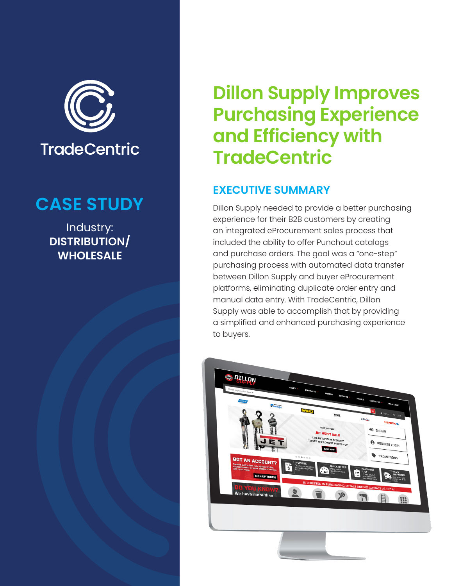

## **CASE STUDY**

Industry: **DISTRIBUTION/ WHOLESALE**

# **Dillon Supply Improves Purchasing Experience and Efficiency with TradeCentric**

## **EXECUTIVE SUMMARY**

Dillon Supply needed to provide a better purchasing experience for their B2B customers by creating an integrated eProcurement sales process that included the ability to offer Punchout catalogs and purchase orders. The goal was a "one-step" purchasing process with automated data transfer between Dillon Supply and buyer eProcurement platforms, eliminating duplicate order entry and manual data entry. With TradeCentric, Dillon Supply was able to accomplish that by providing a simplified and enhanced purchasing experience to buyers.

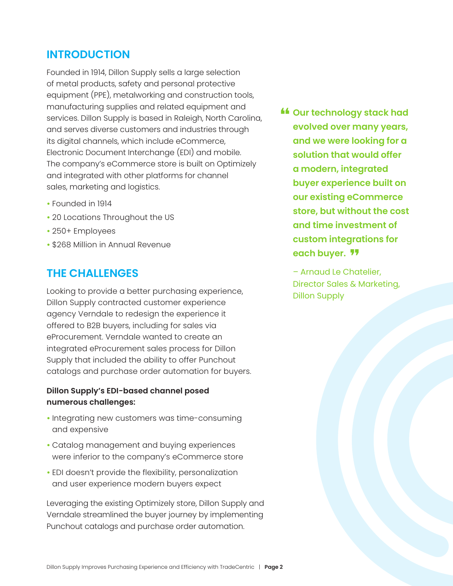## **INTRODUCTION**

Founded in 1914, Dillon Supply sells a large selection of metal products, safety and personal protective equipment (PPE), metalworking and construction tools, manufacturing supplies and related equipment and services. Dillon Supply is based in Raleigh, North Carolina, and serves diverse customers and industries through its digital channels, which include eCommerce, Electronic Document Interchange (EDI) and mobile. The company's eCommerce store is built on Optimizely and integrated with other platforms for channel sales, marketing and logistics.

- Founded in 1914
- 20 Locations Throughout the US
- 250+ Employees
- \$268 Million in Annual Revenue

#### **THE CHALLENGES**

Looking to provide a better purchasing experience, Dillon Supply contracted customer experience agency Verndale to redesign the experience it offered to B2B buyers, including for sales via eProcurement. Verndale wanted to create an integrated eProcurement sales process for Dillon Supply that included the ability to offer Punchout catalogs and purchase order automation for buyers.

#### **Dillon Supply's EDI-based channel posed numerous challenges:**

- Integrating new customers was time-consuming and expensive
- Catalog management and buying experiences were inferior to the company's eCommerce store
- EDI doesn't provide the flexibility, personalization and user experience modern buyers expect

Leveraging the existing Optimizely store, Dillon Supply and Verndale streamlined the buyer journey by implementing Punchout catalogs and purchase order automation.

**ff** Our technology stack had each buyer. <mark>"</mark> **evolved over many years, and we were looking for a solution that would offer a modern, integrated buyer experience built on our existing eCommerce store, but without the cost and time investment of custom integrations for** 

– Arnaud Le Chatelier, Director Sales & Marketing, Dillon Supply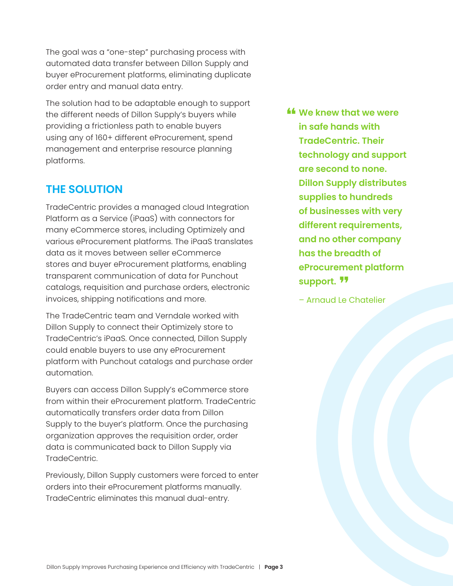The goal was a "one-step" purchasing process with automated data transfer between Dillon Supply and buyer eProcurement platforms, eliminating duplicate order entry and manual data entry.

The solution had to be adaptable enough to support the different needs of Dillon Supply's buyers while providing a frictionless path to enable buyers using any of 160+ different eProcurement, spend management and enterprise resource planning platforms.

#### **THE SOLUTION**

TradeCentric provides a managed cloud Integration Platform as a Service (iPaaS) with connectors for many eCommerce stores, including Optimizely and various eProcurement platforms. The iPaaS translates data as it moves between seller eCommerce stores and buyer eProcurement platforms, enabling transparent communication of data for Punchout catalogs, requisition and purchase orders, electronic invoices, shipping notifications and more.

The TradeCentric team and Verndale worked with Dillon Supply to connect their Optimizely store to TradeCentric's iPaaS. Once connected, Dillon Supply could enable buyers to use any eProcurement platform with Punchout catalogs and purchase order automation.

Buyers can access Dillon Supply's eCommerce store from within their eProcurement platform. TradeCentric automatically transfers order data from Dillon Supply to the buyer's platform. Once the purchasing organization approves the requisition order, order data is communicated back to Dillon Supply via TradeCentric.

Previously, Dillon Supply customers were forced to enter orders into their eProcurement platforms manually. TradeCentric eliminates this manual dual-entry.

**<u>the</u>** We knew that we were  $\frac{1}{2}$  in eate bands with support. <mark>"</mark> **in safe hands with TradeCentric. Their technology and support are second to none. Dillon Supply distributes supplies to hundreds of businesses with very different requirements, and no other company has the breadth of eProcurement platform** 

– Arnaud Le Chatelier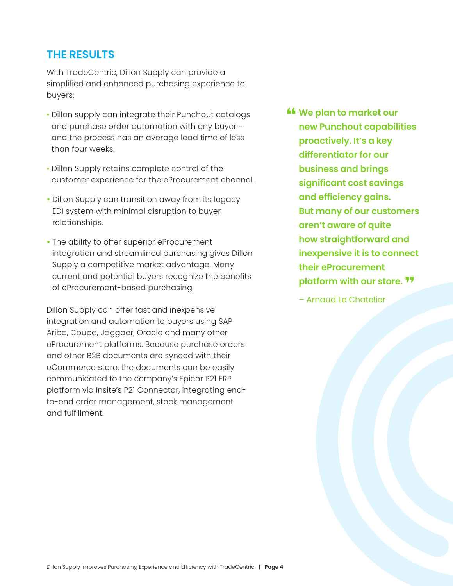### **THE RESULTS**

With TradeCentric, Dillon Supply can provide a simplified and enhanced purchasing experience to buyers:

- Dillon supply can integrate their Punchout catalogs and purchase order automation with any buyer and the process has an average lead time of less than four weeks.
- Dillon Supply retains complete control of the customer experience for the eProcurement channel.
- Dillon Supply can transition away from its legacy EDI system with minimal disruption to buyer relationships.
- The ability to offer superior eProcurement integration and streamlined purchasing gives Dillon Supply a competitive market advantage. Many current and potential buyers recognize the benefits of eProcurement-based purchasing.

Dillon Supply can offer fast and inexpensive integration and automation to buyers using SAP Ariba, Coupa, Jaggaer, Oracle and many other eProcurement platforms. Because purchase orders and other B2B documents are synced with their eCommerce store, the documents can be easily communicated to the company's Epicor P21 ERP platform via Insite's P21 Connector, integrating endto-end order management, stock management and fulfillment.

- **<u>Example 16</u>** We plan to market our platform with our store. <sup>11</sup> **new Punchout capabilities proactively. It's a key differentiator for our business and brings significant cost savings and efficiency gains. But many of our customers aren't aware of quite how straightforward and inexpensive it is to connect their eProcurement** 
	- Arnaud Le Chatelier